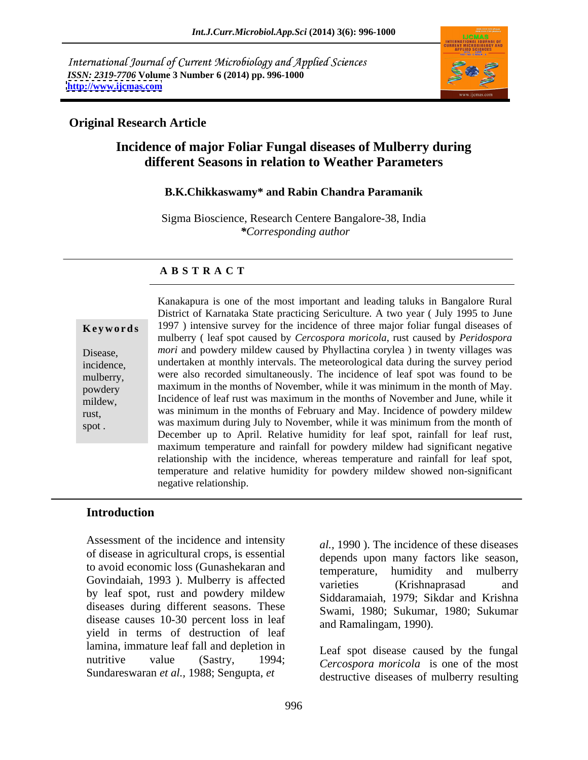International Journal of Current Microbiology and Applied Sciences *ISSN: 2319-7706* **Volume 3 Number 6 (2014) pp. 996-1000 <http://www.ijcmas.com>**



## **Original Research Article**

# **Incidence of major Foliar Fungal diseases of Mulberry during different Seasons in relation to Weather Parameters**

### **B.K.Chikkaswamy\* and Rabin Chandra Paramanik**

Sigma Bioscience, Research Centere Bangalore-38, India *\*Corresponding author* 

#### **A B S T R A C T**

**Keywords** 1997) intensive survey for the incidence of three major foliar fungal diseases of Disease, *mori* and powdery mildew caused by Phyllactina corylea ) in twenty villages was incidence, undertaken at monthly intervals. The meteorological data during the survey period mulberry, were also recorded simultaneously. The incidence of leaf spot was found to be powdery maximum in the months of November, while it was minimum in the month of May. mildew, Incidence of leaf rust was maximum in the months of November and June, while it rust, was minimum in the months of February and May. Incidence of powdery mildew spot . was maximum during July to November, while it was minimum from the month of Kanakapura is one of the most important and leading taluks in Bangalore Rural District of Karnataka State practicing Sericulture. A two year ( July 1995 to June mulberry ( leaf spot caused by *Cercospora moricola*, rust caused by *Peridospora*  December up to April. Relative humidity for leaf spot, rainfall for leaf rust, maximum temperature and rainfall for powdery mildew had significant negative relationship with the incidence, whereas temperature and rainfall for leaf spot, temperature and relative humidity for powdery mildew showed non-significant negative relationship.

### **Introduction**

Assessment of the incidence and intensity of disease in agricultural crops, is essential to avoid economic loss (Gunashekaran and the emperature, humidity and mulberry Govindaiah, 1993). Mulberry is affected varieties (Krishnaprasad and by leaf spot, rust and powdery mildew diseases during different seasons. These disease causes 10-30 percent loss in leaf yield in terms of destruction of leaf lamina, immature leaf fall and depletion in nutritive value (Sastry, 1994;  $\overline{C}$  *Cercospora moricola* is one of the most Sundareswaran *et al.,* 1988; Sengupta, *et* 

*al.,* 1990 ). The incidence of these diseases depends upon many factors like season, temperature, humidity and mulberry varieties (Krishnaprasad and Siddaramaiah, 1979; Sikdar and Krishna Swami, 1980; Sukumar, 1980; Sukumar and Ramalingam, 1990).

Leaf spot disease caused by the fungal destructive diseases of mulberry resulting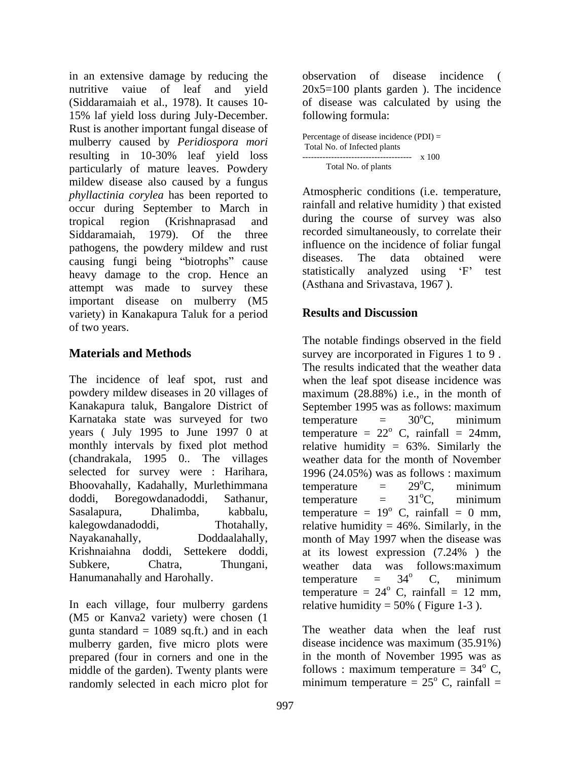in an extensive damage by reducing the nutritive vaiue of leaf and yield 20x5=100 plants garden ). The incidence (Siddaramaiah et al., 1978). It causes 10- of disease was calculated by using the 15% laf yield loss during July-December. Rust is another important fungal disease of mulberry caused by *Peridiospora mori* resulting in 10-30% leaf yield loss particularly of mature leaves. Powdery Total No. of plants mildew disease also caused by a fungus *phyllactinia corylea* has been reported to occur during September to March in tropical region (Krishnaprasad and Siddaramaiah, 1979). Of the three recorded simultaneously, to correlate their pathogens, the powdery mildew and rust influence on the incidence of foliar fungal<br>causing funci being "biotrophs" cause diseases. The data obtained were causing fungi being "biotrophs" cause diseases. The data obtained were<br>heavy demage to the aren Hance and statistically analyzed using 'F' test heavy damage to the crop. Hence an attempt was made to survey these important disease on mulberry (M5<br>variety) in Kanakapura Taluk for a period **Results and Discussion** variety) in Kanakapura Taluk for a period of two years.

The incidence of leaf spot, rust and when the leaf spot disease incidence was powdery mildew diseases in 20 villages of maximum (28.88%) i.e., in the month of Kanakapura taluk, Bangalore District of Karnataka state was surveyed for two temperature  $= 30^{\circ}$ C, minimum years (July 1995 to June 1997 0 at temperature  $= 22^{\circ}$  C, rainfall  $= 24$ mm, monthly intervals by fixed plot method relative humidity = 63%. Similarly the (chandrakala, 1995 0.. The villages weather data for the month of November selected for survey were : Harihara, 1996 (24.05%) was as follows : maximum Bhoovahally, Kadahally, Murlethimmana temperature  $= 29^{\circ}C$ , minimum doddi, Boregowdanadoddi, Sathanur, Sasalapura, Dhalimba, kabbalu, temperature = 19<sup>°</sup> C, rainfall = 0 mm, kalegowdanadoddi, Thotahally, relative humidity = 46%. Similarly, in the Nayakanahally, Doddaalahally, month of May 1997 when the disease was Krishnaiahna doddi, Settekere doddi, at its lowest expression (7.24%) the Subkere, Chatra, Thungani, weather data was follows: maximum Hanumanahally and Harohally.  $\mu$  temperature =  $34^{\circ}$  C, minimum

In each village, four mulberry gardens relative humidity = 50% (Figure 1-3). (M5 or Kanva2 variety) were chosen (1 gunta standard  $= 1089$  sq.ft.) and in each mulberry garden, five micro plots were disease incidence was maximum (35.91%) prepared (four in corners and one in the middle of the garden). Twenty plants were follows : maximum temperature  $= 34^{\circ}$  C, randomly selected in each micro plot for

observation of disease incidence ( following formula:

| Percentage of disease incidence $(PDI) =$ |  |  |
|-------------------------------------------|--|--|
| Total No. of Infected plants              |  |  |
| x 100                                     |  |  |
| Total No. of plants                       |  |  |

Atmospheric conditions (i.e. temperature, rainfall and relative humidity ) that existed during the course of survey was also influence on the incidence of foliar fungal diseases. The data obtained were statistically analyzed using  $F'$ (Asthana and Srivastava, 1967 ).

# **Results and Discussion**

**Materials and Methods** survey are incorporated in Figures 1 to 9. The notable findings observed in the field The results indicated that the weather data September 1995 was as follows: maximum temperature  $= 30^{\circ}$ C, minimum  ${}^{\circ}C$ , minimum  $^{\circ}$  C, rainfall = 24mm, 1996 (24.05%) was as follows : maximum temperature  $= 29^{\circ}$ C, minimum  ${}^{\circ}C$ , minimum temperature  $= 31^{\circ}$ C, minimum  ${}^{\circ}C$ , minimum  $^{\circ}$  C, rainfall = 0 mm, at its lowest expression (7.24% ) the weather data was follows:maximum temperature  $= 34^{\circ}$  C, minimum  $\rm ^{o}$  C, minimum temperature =  $24^{\circ}$  C, rainfall = 12 mm,  $^{\circ}$  C, rainfall = 12 mm,

> The weather data when the leaf rust disease incidence was maximum (35.91%) in the month of November 1995 was as  $\rm ^{o}$  C, minimum temperature =  $25^{\circ}$  C, rainfall =  $\degree$  C, rainfall  $=$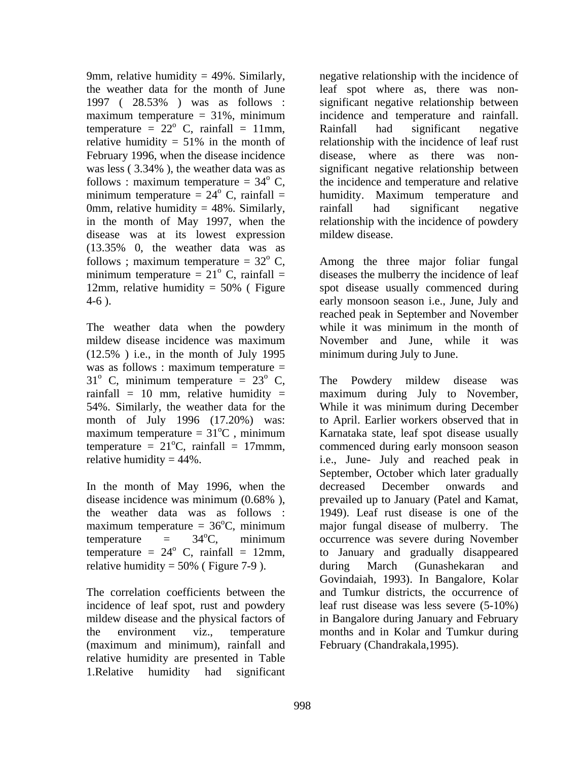temperature =  $22^{\circ}$  C, rainfall = 11mm, Rainfall had significant negative minimum temperature =  $24^{\circ}$  C, rainfall = 0mm, relative humidity  $= 48\%$ . Similarly, rainfall had significant negative disease was at its lowest expression (13.35% 0, the weather data was as follows ; maximum temperature =  $32^{\circ}$  C, Among the three major foliar fungal minimum temperature =  $21^{\circ}$  C, rainfall =

The weather data when the powdery while it was minimum in the month of mildew disease incidence was maximum  $(12.5\%)$  i.e., in the month of July 1995 was as follows : maximum temperature =  $31^{\circ}$  C, minimum temperature =  $23^{\circ}$  C, The Powdery mildew disease was 54%. Similarly, the weather data for the month of July 1996 (17.20%) was:

In the month of May 1996, when the decreased December onwards and maximum temperature =  $36^{\circ}$ C, minimum relative humidity =  $50\%$  (Figure 7-9). during March (Gunashekaran and

incidence of leaf spot, rust and powdery mildew disease and the physical factors of (maximum and minimum), rainfall and relative humidity are presented in Table 1.Relative humidity had significant

9mm, relative humidity = 49%. Similarly, a regative relationship with the incidence of the weather data for the month of June leaf spotwhere as, there was non- 1997 ( 28.53% ) was as follows : significant negative relationship between maximum temperature = 31%, minimum incidence and temperature and rainfall.  $\degree$  C, rainfall = 11mm, Rainfall had significant negative relative humidity = 51% in the month of relationship with the incidence of leaf rust February 1996, when the disease incidence disease, where as there was non was less ( 3.34% ), the weather data was as significant negative relationship between follows : maximum temperature =  $34^{\circ}$  C, the incidence and temperature and relative  $\alpha$  C, rainfall = humidity. Maximum temperature and in the month of May 1997, when the relationship with the incidence of powdery incidence and temperature and rainfall. Rainfall had significant negative relationship with the incidence of leaf rust rainfall had significant negative mildew disease.

 $\degree$  C, rainfall = diseases the mulberry the incidence of leaf 12mm, relative humidity = 50% ( Figure spot disease usually commenced during 4-6 ). early monsoon season i.e., June, July and spot disease usually commenced during reached peak in September and November while it was minimum in the month of November and June, while it was minimum during July to June.

The Powdery mildew disease rainfall = 10 mm, relative humidity = maximum during July to November, maximum temperature =  $31^{\circ}$ C, minimum Karnataka state, leaf spot disease usually temperature  $= 21^{\circ}$ C, rainfall  $= 17$ mmm, commenced during early monsoon season relative humidity = 44%. i.e., June- July and reached peak in disease incidence was minimum (0.68%), prevailed up to January (Patel and Kamat, the weather data was as follows : 1949). Leaf rust disease is one of the <sup>o</sup>C, minimum major fungal disease of mulberry. The temperature  $=$  34<sup>o</sup>C, minimum occurrence was severe during November <sup>o</sup>C, minimum occurrence was severe during November temperature =  $24^{\circ}$  C, rainfall = 12mm, to January and gradually disappeared The correlation coefficients between the and Tumkur districts, the occurrence of the environment viz., temperature months and in Kolar and Tumkur during The Powdery mildew disease was While it was minimum during December to April. Earlier workers observed that in September, October which later gradually decreased December onwards and prevailed up to January (Patel and Kamat, major fungal disease of mulberry. The during March (Gunashekaran and Govindaiah, 1993). In Bangalore, Kolar leaf rust disease was less severe (5-10%) in Bangalore during January and February February (Chandrakala,1995).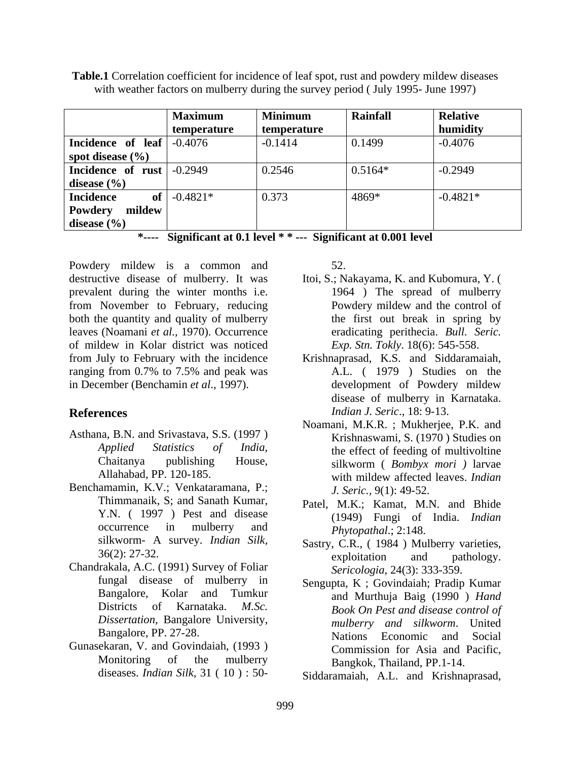|                             | <b>Maximum</b>      | <b>Minimum</b> | <b>Rainfall</b> | <b>Relative</b> |
|-----------------------------|---------------------|----------------|-----------------|-----------------|
|                             | temperature         | temperature    |                 | humidity        |
| Incidence of leaf $-0.4076$ |                     | $-0.1414$      | 0.1499          | $-0.4076$       |
| spot disease (%)            |                     |                |                 |                 |
| Incidence of rust $-0.2949$ |                     | 0.2546         | $0.5164*$       | $-0.2949$       |
| disease $(\% )$             |                     |                |                 |                 |
| Incidence                   | of $\vert$ -0.4821* | 0.373          | 4869*           | $-0.4821*$      |
| Powdery mildew              |                     |                |                 |                 |
| disease $(\% )$             |                     |                |                 |                 |

**Table.1** Correlation coefficient for incidence of leaf spot, rust and powdery mildew diseases with weather factors on mulberry during the survey period (July 1995- June 1997)

**\*---- Significant at 0.1 level \* \* --- Significant at 0.001 level**

Powdery mildew is a common and 52. destructive disease of mulberry. It was Itoi, S.; Nakayama, K. and Kubomura, Y. ( prevalent during the winter months i.e. from November to February, reducing both the quantity and quality of mulberry leaves (Noamani *et al.,* 1970). Occurrence of mildew in Kolar district was noticed from July to February with the incidence Krishnaprasad, K.S. and Siddaramaiah, ranging from 0.7% to 7.5% and peak was A.L. (1979) Studies on the in December (Benchamin *et al*., 1997). y mildew is a common and 52.<br>
erive disease of mulherry. It was<br>
thoi, S.; Nakayama, K. and Kubomura, Y. (<br>
Siven the winter mombs i.e.<br>
Nowender to February, reducing<br>
Powdery mildew and the control of<br>
Normanie to Februa

- Asthana, B.N. and Srivastava, S.S. (1997 )
- Benchamamin, K.V.; Venkataramana, P.; Y.N. ( 1997 ) Pest and disease silkworm- A survey. *Indian Silk*, Sastry, C.R., (1984) Mulberry varieties,
- Chandrakala, A.C. (1991) Survey of Foliar fungal disease of mulberry in
- Gunasekaran, V. and Govindaiah, (1993 )

- 1964 ) The spread of mulberry Powdery mildew and the control of the first out break in spring by eradicating perithecia. *Bull. Seric. Exp. Stn. Tokly*. 18(6): 545-558.
- **References** *Indian J. Seric*., 18: 9-13. A.L. ( 1979 ) Studies on the development of Powdery mildew disease of mulberry in Karnataka.
	- *Applied Statistics of India*, the effect of feeding of multivoltine<br>Chaitanya publishing House, silkworm (*Bombyx mori*) larvae Chaitanya publishing House, silkworm (*Bombyx mori*) larvae<br>Allahabad, PP. 120-185. with mildew affected leaves. *Indian* Noamani, M.K.R. ; Mukherjee, P.K. and Krishnaswami, S. (1970 ) Studies on the effect of feeding of multivoltine silkworm ( *Bombyx mori )* larvae with mildew affected leaves. *Indian J. Seric.,* 9(1): 49-52.
	- Thimmanaik, S; and Sanath Kumar, Patel, M.K.; Kamat, M.N. and Bhide occurrence in mulberry and  $Phvtonathal$ : 2:148. (1949) Fungi of India. *Indian Phytopathal*.; 2:148.
	- $36(2): 27-32.$  exploitation and pathology exploitation and pathology. *Sericologia,* 24(3): 333-359.
	- Bangalore, Kolar and Tumkur and Murthuja Baig (1990) *Hand* Districts of Karnataka. *M.Sc. Book On Pest and disease control of Dissertation*, Bangalore University, *mulberry and silkworm*. United Bangalore, PP. 27-28. Nations Economic and Social Monitoring of the mulberry Bangkok Thailand PP 1-14. Sengupta, K ; Govindaiah; Pradip Kumar Commission for Asia and Pacific, Bangkok, Thailand, PP.1-14.
		- Siddaramaiah, A.L. and Krishnaprasad,